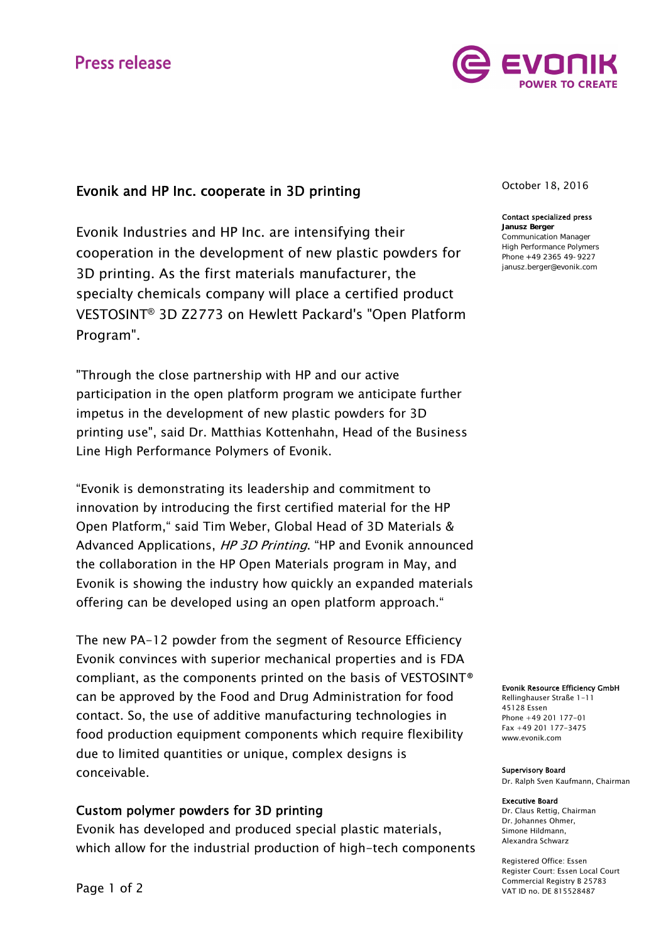# **Press release**



# Evonik and HP Inc. cooperate in 3D printing

Evonik Industries and HP Inc. are intensifying their cooperation in the development of new plastic powders for 3D printing. As the first materials manufacturer, the specialty chemicals company will place a certified product VESTOSINT® 3D Z2773 on Hewlett Packard's "Open Platform Program".

"Through the close partnership with HP and our active participation in the open platform program we anticipate further impetus in the development of new plastic powders for 3D printing use", said Dr. Matthias Kottenhahn, Head of the Business Line High Performance Polymers of Evonik.

"Evonik is demonstrating its leadership and commitment to innovation by introducing the first certified material for the HP Open Platform," said Tim Weber, Global Head of 3D Materials & Advanced Applications, HP 3D Printing. "HP and Evonik announced the collaboration in the HP Open Materials program in May, and Evonik is showing the industry how quickly an expanded materials offering can be developed using an open platform approach."

The new PA-12 powder from the segment of Resource Efficiency Evonik convinces with superior mechanical properties and is FDA compliant, as the components printed on the basis of VESTOSINT® can be approved by the Food and Drug Administration for food contact. So, the use of additive manufacturing technologies in food production equipment components which require flexibility due to limited quantities or unique, complex designs is conceivable.

# Custom polymer powders for 3D printing

Evonik has developed and produced special plastic materials, which allow for the industrial production of high-tech components October 18, 2016

## Contact specialized press

Janusz Berger Communication Manager High Performance Polymers Phone +49 2365 49-9227 janusz.berger@evonik.com

Evonik Resource Efficiency GmbH

Rellinghauser Straße 1-11 45128 Essen Phone +49 201 177-01 Fax +49 201 177-3475 www.evonik.com

#### Supervisory Board

Dr. Ralph Sven Kaufmann, Chairman

#### Executive Board

Dr. Claus Rettig, Chairman Dr. Johannes Ohmer, Simone Hildmann, Alexandra Schwarz

Registered Office: Essen Register Court: Essen Local Court Commercial Registry B 25783 VAT ID no. DE 815528487